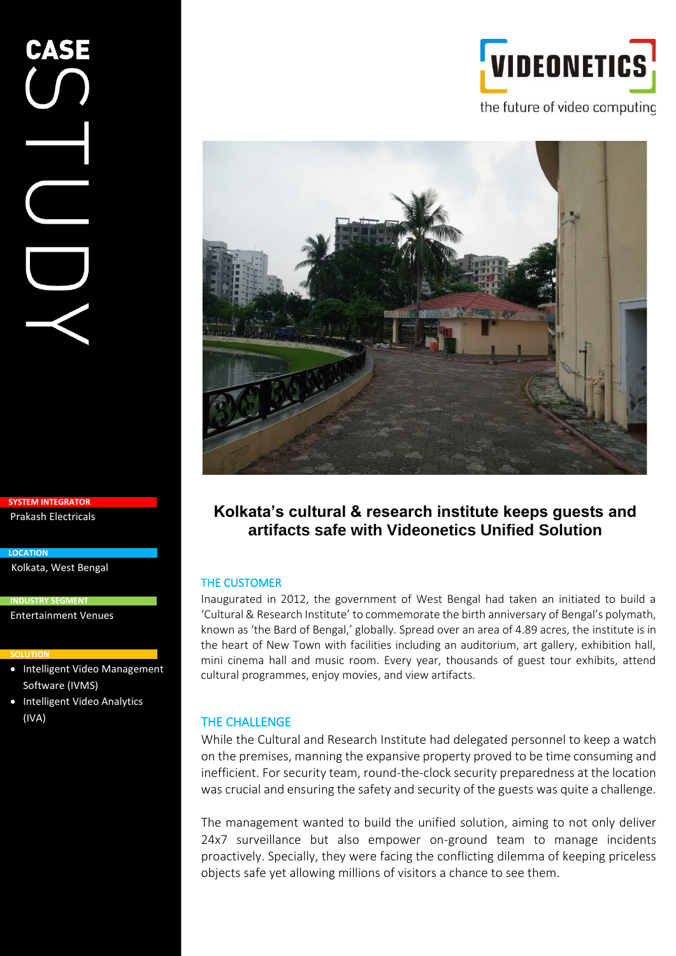# CASE

**SYSTEM INTEGRATOR** Prakash Electricals

Kolkata, West Bengal

**INDUSTRY SEGMENT**

Entertainment Venues

### **SOLUTION**

**LOCATION**

- Intelligent Video Management Software (IVMS)
- Intelligent Video Analytics (IVA)





# **Kolkata's cultural & research institute keeps guests and artifacts safe with Videonetics Unified Solution**

# THE CUSTOMER

Inaugurated in 2012, the government of West Bengal had taken an initiated to build a 'Cultural & Research Institute' to commemorate the birth anniversary of Bengal's polymath, known as 'the Bard of Bengal,' globally. Spread over an area of 4.89 acres, the institute is in the heart of New Town with facilities including an auditorium, art gallery, exhibition hall, mini cinema hall and music room. Every year, thousands of guest tour exhibits, attend cultural programmes, enjoy movies, and view artifacts.

# THE CHALLENGE

While the Cultural and Research Institute had delegated personnel to keep a watch on the premises, manning the expansive property proved to be time consuming and inefficient. For security team, round-the-clock security preparedness at the location was crucial and ensuring the safety and security of the guests was quite a challenge.

The management wanted to build the unified solution, aiming to not only deliver 24x7 surveillance but also empower on-ground team to manage incidents proactively. Specially, they were facing the conflicting dilemma of keeping priceless objects safe yet allowing millions of visitors a chance to see them.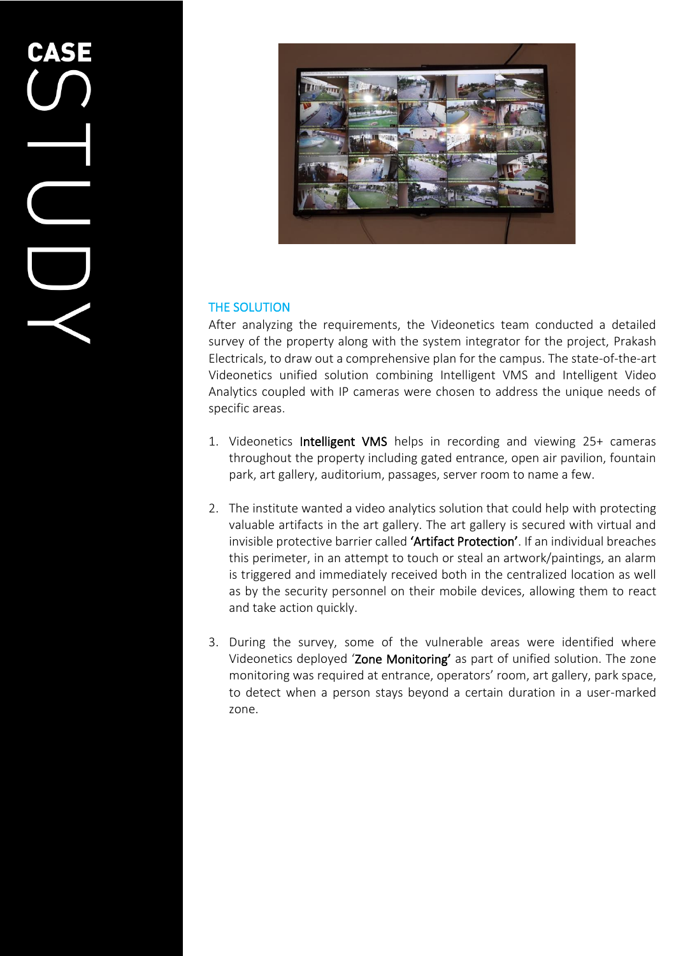

# THE SOLUTION

After analyzing the requirements, the Videonetics team conducted a detailed survey of the property along with the system integrator for the project, Prakash Electricals, to draw out a comprehensive plan for the campus. The state-of-the-art Videonetics unified solution combining Intelligent VMS and Intelligent Video Analytics coupled with IP cameras were chosen to address the unique needs of specific areas.

- 1. Videonetics Intelligent VMS helps in recording and viewing 25+ cameras throughout the property including gated entrance, open air pavilion, fountain park, art gallery, auditorium, passages, server room to name a few.
- 2. The institute wanted a video analytics solution that could help with protecting valuable artifacts in the art gallery. The art gallery is secured with virtual and invisible protective barrier called 'Artifact Protection'. If an individual breaches this perimeter, in an attempt to touch or steal an artwork/paintings, an alarm is triggered and immediately received both in the centralized location as well as by the security personnel on their mobile devices, allowing them to react and take action quickly.
- 3. During the survey, some of the vulnerable areas were identified where Videonetics deployed 'Zone Monitoring' as part of unified solution. The zone monitoring was required at entrance, operators' room, art gallery, park space, to detect when a person stays beyond a certain duration in a user-marked zone.